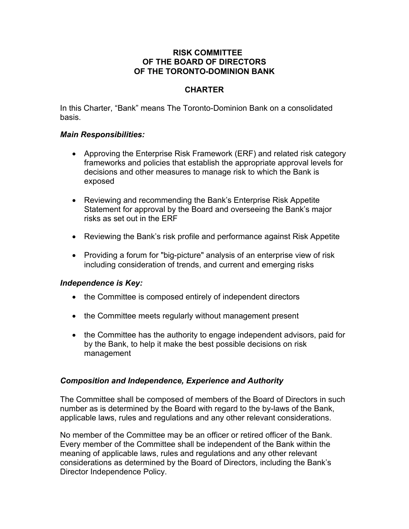## **RISK COMMITTEE OF THE BOARD OF DIRECTORS OF THE TORONTO-DOMINION BANK**

# **CHARTER**

In this Charter, "Bank" means The Toronto-Dominion Bank on a consolidated basis.

### *Main Responsibilities:*

- Approving the Enterprise Risk Framework (ERF) and related risk category frameworks and policies that establish the appropriate approval levels for decisions and other measures to manage risk to which the Bank is exposed
- Reviewing and recommending the Bank's Enterprise Risk Appetite Statement for approval by the Board and overseeing the Bank's major risks as set out in the ERF
- Reviewing the Bank's risk profile and performance against Risk Appetite
- Providing a forum for "big-picture" analysis of an enterprise view of risk including consideration of trends, and current and emerging risks

## *Independence is Key:*

- the Committee is composed entirely of independent directors
- the Committee meets regularly without management present
- the Committee has the authority to engage independent advisors, paid for by the Bank, to help it make the best possible decisions on risk management

## *Composition and Independence, Experience and Authority*

The Committee shall be composed of members of the Board of Directors in such number as is determined by the Board with regard to the by-laws of the Bank, applicable laws, rules and regulations and any other relevant considerations.

No member of the Committee may be an officer or retired officer of the Bank. Every member of the Committee shall be independent of the Bank within the meaning of applicable laws, rules and regulations and any other relevant considerations as determined by the Board of Directors, including the Bank's Director Independence Policy.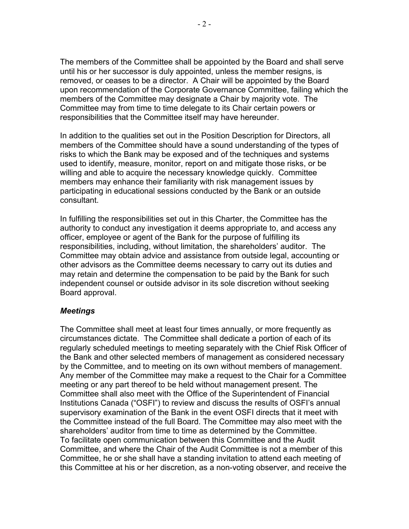The members of the Committee shall be appointed by the Board and shall serve until his or her successor is duly appointed, unless the member resigns, is removed, or ceases to be a director. A Chair will be appointed by the Board upon recommendation of the Corporate Governance Committee, failing which the members of the Committee may designate a Chair by majority vote. The Committee may from time to time delegate to its Chair certain powers or responsibilities that the Committee itself may have hereunder.

In addition to the qualities set out in the Position Description for Directors, all members of the Committee should have a sound understanding of the types of risks to which the Bank may be exposed and of the techniques and systems used to identify, measure, monitor, report on and mitigate those risks, or be willing and able to acquire the necessary knowledge quickly. Committee members may enhance their familiarity with risk management issues by participating in educational sessions conducted by the Bank or an outside consultant.

In fulfilling the responsibilities set out in this Charter, the Committee has the authority to conduct any investigation it deems appropriate to, and access any officer, employee or agent of the Bank for the purpose of fulfilling its responsibilities, including, without limitation, the shareholders' auditor. The Committee may obtain advice and assistance from outside legal, accounting or other advisors as the Committee deems necessary to carry out its duties and may retain and determine the compensation to be paid by the Bank for such independent counsel or outside advisor in its sole discretion without seeking Board approval.

#### *Meetings*

The Committee shall meet at least four times annually, or more frequently as circumstances dictate. The Committee shall dedicate a portion of each of its regularly scheduled meetings to meeting separately with the Chief Risk Officer of the Bank and other selected members of management as considered necessary by the Committee, and to meeting on its own without members of management. Any member of the Committee may make a request to the Chair for a Committee meeting or any part thereof to be held without management present. The Committee shall also meet with the Office of the Superintendent of Financial Institutions Canada ("OSFI") to review and discuss the results of OSFI's annual supervisory examination of the Bank in the event OSFI directs that it meet with the Committee instead of the full Board. The Committee may also meet with the shareholders' auditor from time to time as determined by the Committee. To facilitate open communication between this Committee and the Audit Committee, and where the Chair of the Audit Committee is not a member of this Committee, he or she shall have a standing invitation to attend each meeting of this Committee at his or her discretion, as a non-voting observer, and receive the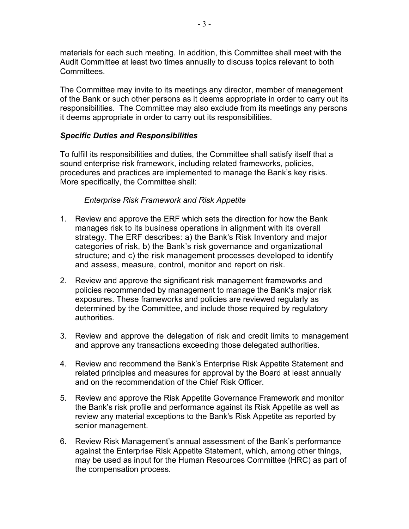materials for each such meeting. In addition, this Committee shall meet with the Audit Committee at least two times annually to discuss topics relevant to both Committees.

The Committee may invite to its meetings any director, member of management of the Bank or such other persons as it deems appropriate in order to carry out its responsibilities. The Committee may also exclude from its meetings any persons it deems appropriate in order to carry out its responsibilities.

## *Specific Duties and Responsibilities*

To fulfill its responsibilities and duties, the Committee shall satisfy itself that a sound enterprise risk framework, including related frameworks, policies, procedures and practices are implemented to manage the Bank's key risks. More specifically, the Committee shall:

### *Enterprise Risk Framework and Risk Appetite*

- 1. Review and approve the ERF which sets the direction for how the Bank manages risk to its business operations in alignment with its overall strategy. The ERF describes: a) the Bank's Risk Inventory and major categories of risk, b) the Bank's risk governance and organizational structure; and c) the risk management processes developed to identify and assess, measure, control, monitor and report on risk.
- 2. Review and approve the significant risk management frameworks and policies recommended by management to manage the Bank's major risk exposures. These frameworks and policies are reviewed regularly as determined by the Committee, and include those required by regulatory authorities.
- 3. Review and approve the delegation of risk and credit limits to management and approve any transactions exceeding those delegated authorities.
- 4. Review and recommend the Bank's Enterprise Risk Appetite Statement and related principles and measures for approval by the Board at least annually and on the recommendation of the Chief Risk Officer.
- 5. Review and approve the Risk Appetite Governance Framework and monitor the Bank's risk profile and performance against its Risk Appetite as well as review any material exceptions to the Bank's Risk Appetite as reported by senior management.
- 6. Review Risk Management's annual assessment of the Bank's performance against the Enterprise Risk Appetite Statement, which, among other things, may be used as input for the Human Resources Committee (HRC) as part of the compensation process.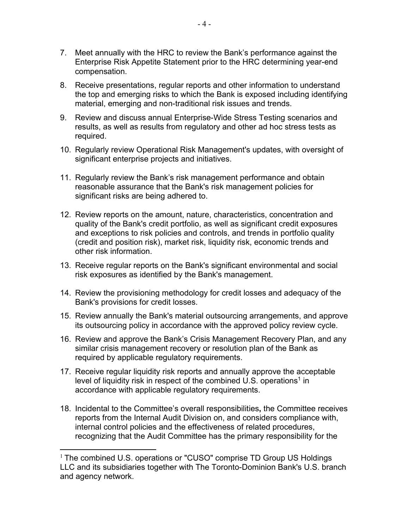- 7. Meet annually with the HRC to review the Bank's performance against the Enterprise Risk Appetite Statement prior to the HRC determining year-end compensation.
- 8. Receive presentations, regular reports and other information to understand the top and emerging risks to which the Bank is exposed including identifying material, emerging and non-traditional risk issues and trends.
- 9. Review and discuss annual Enterprise-Wide Stress Testing scenarios and results, as well as results from regulatory and other ad hoc stress tests as required.
- 10. Regularly review Operational Risk Management's updates, with oversight of significant enterprise projects and initiatives.
- 11. Regularly review the Bank's risk management performance and obtain reasonable assurance that the Bank's risk management policies for significant risks are being adhered to.
- 12. Review reports on the amount, nature, characteristics, concentration and quality of the Bank's credit portfolio, as well as significant credit exposures and exceptions to risk policies and controls, and trends in portfolio quality (credit and position risk), market risk, liquidity risk, economic trends and other risk information.
- 13. Receive regular reports on the Bank's significant environmental and social risk exposures as identified by the Bank's management.
- 14. Review the provisioning methodology for credit losses and adequacy of the Bank's provisions for credit losses.
- 15. Review annually the Bank's material outsourcing arrangements, and approve its outsourcing policy in accordance with the approved policy review cycle.
- 16. Review and approve the Bank's Crisis Management Recovery Plan, and any similar crisis management recovery or resolution plan of the Bank as required by applicable regulatory requirements.
- 17. Receive regular liquidity risk reports and annually approve the acceptable level of liquidity risk in respect of the combined U.S. operations<sup>1</sup> in accordance with applicable regulatory requirements.
- 18. Incidental to the Committee's overall responsibilities**,** the Committee receives reports from the Internal Audit Division on, and considers compliance with, internal control policies and the effectiveness of related procedures, recognizing that the Audit Committee has the primary responsibility for the

<sup>&</sup>lt;sup>1</sup> The combined U.S. operations or "CUSO" comprise TD Group US Holdings LLC and its subsidiaries together with The Toronto-Dominion Bank's U.S. branch and agency network.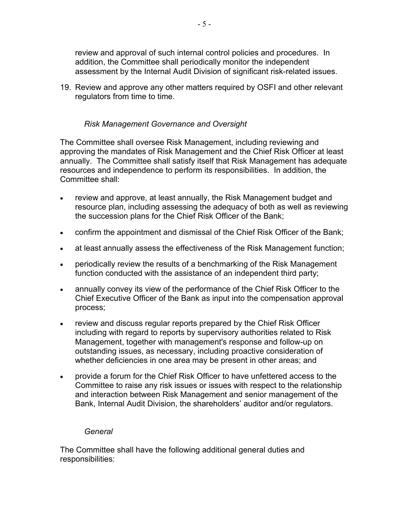review and approval of such internal control policies and procedures. In addition, the Committee shall periodically monitor the independent assessment by the Internal Audit Division of significant risk-related issues.

19. Review and approve any other matters required by OSFI and other relevant regulators from time to time.

# *Risk Management Governance and Oversight*

The Committee shall oversee Risk Management, including reviewing and approving the mandates of Risk Management and the Chief Risk Officer at least annually. The Committee shall satisfy itself that Risk Management has adequate resources and independence to perform its responsibilities. In addition, the Committee shall:

- review and approve, at least annually, the Risk Management budget and resource plan, including assessing the adequacy of both as well as reviewing the succession plans for the Chief Risk Officer of the Bank;
- confirm the appointment and dismissal of the Chief Risk Officer of the Bank;
- at least annually assess the effectiveness of the Risk Management function;
- periodically review the results of a benchmarking of the Risk Management function conducted with the assistance of an independent third party;
- annually convey its view of the performance of the Chief Risk Officer to the Chief Executive Officer of the Bank as input into the compensation approval process;
- review and discuss regular reports prepared by the Chief Risk Officer including with regard to reports by supervisory authorities related to Risk Management, together with management's response and follow-up on outstanding issues, as necessary, including proactive consideration of whether deficiencies in one area may be present in other areas; and
- provide a forum for the Chief Risk Officer to have unfettered access to the Committee to raise any risk issues or issues with respect to the relationship and interaction between Risk Management and senior management of the Bank, Internal Audit Division, the shareholders' auditor and/or regulators.

## *General*

The Committee shall have the following additional general duties and responsibilities: